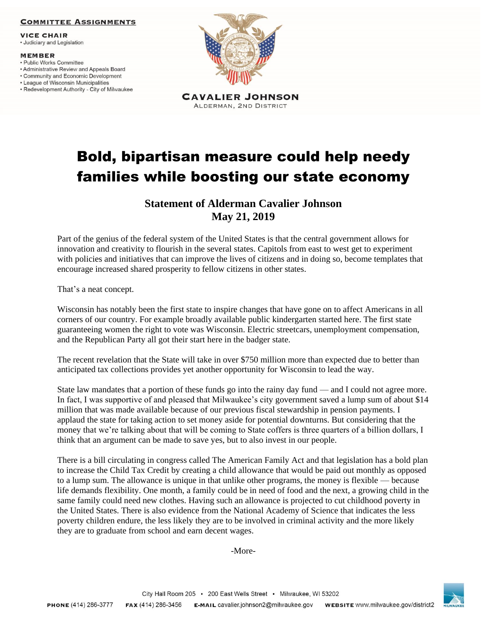### **COMMITTEE ASSIGNMENTS**

**VICE CHAIR** 

· Judiciary and Legislation

#### **MEMBER**

- · Public Works Committee
- Administrative Review and Appeals Board
- Community and Economic Development
- League of Wisconsin Municipalities
- Redevelopment Authority City of Milwaukee



# Bold, bipartisan measure could help needy families while boosting our state economy

## **Statement of Alderman Cavalier Johnson May 21, 2019**

Part of the genius of the federal system of the United States is that the central government allows for innovation and creativity to flourish in the several states. Capitols from east to west get to experiment with policies and initiatives that can improve the lives of citizens and in doing so, become templates that encourage increased shared prosperity to fellow citizens in other states.

That's a neat concept.

Wisconsin has notably been the first state to inspire changes that have gone on to affect Americans in all corners of our country. For example broadly available public kindergarten started here. The first state guaranteeing women the right to vote was Wisconsin. Electric streetcars, unemployment compensation, and the Republican Party all got their start here in the badger state.

The recent revelation that the State will take in over \$750 million more than expected due to better than anticipated tax collections provides yet another opportunity for Wisconsin to lead the way.

State law mandates that a portion of these funds go into the rainy day fund — and I could not agree more. In fact, I was supportive of and pleased that Milwaukee's city government saved a lump sum of about \$14 million that was made available because of our previous fiscal stewardship in pension payments. I applaud the state for taking action to set money aside for potential downturns. But considering that the money that we're talking about that will be coming to State coffers is three quarters of a billion dollars, I think that an argument can be made to save yes, but to also invest in our people.

There is a bill circulating in congress called The American Family Act and that legislation has a bold plan to increase the Child Tax Credit by creating a child allowance that would be paid out monthly as opposed to a lump sum. The allowance is unique in that unlike other programs, the money is flexible — because life demands flexibility. One month, a family could be in need of food and the next, a growing child in the same family could need new clothes. Having such an allowance is projected to cut childhood poverty in the United States. There is also evidence from the National Academy of Science that indicates the less poverty children endure, the less likely they are to be involved in criminal activity and the more likely they are to graduate from school and earn decent wages.

-More-